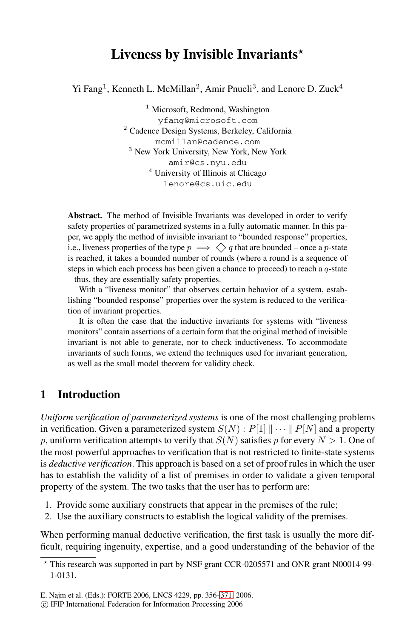# **Liveness by Invisible Invariants***-*

Yi Fang<sup>1</sup>, Kenneth L. McMillan<sup>2</sup>, Amir Pnueli<sup>3</sup>, and Lenore D. Zuck<sup>4</sup>

<sup>1</sup> Microsoft, Redmond, Washington yfang@microsoft.com <sup>2</sup> Cadence Design Systems, Berkeley, California mcmillan@cadence.com <sup>3</sup> New York University, New York, New York amir@cs.nyu.edu <sup>4</sup> University of Illinois at Chicago lenore@cs.uic.edu

**Abstract.** The method of Invisible Invariants was developed in order to verify safety properties of parametrized systems in a fully automatic manner. In this paper, we apply the method of invisible invariant to "bounded response" properties, i.e., liveness properties of the type  $p \implies \bigotimes q$  that are bounded – once a p-state is reached, it takes a bounded number of rounds (where a round is a sequence of steps in which each process has been given a chance to proceed) to reach a q-state – thus, they are essentially safety properties.

With a "liveness monitor" that observes certain behavior of a system, establishing "bounded response" properties over the system is reduced to the verification of invariant properties.

It is often the case that the inductive invariants for systems with "liveness monitors" contain assertions of a certain form that the original method of invisible invariant is not able to generate, nor to check inductiveness. To accommodate invariants of such forms, we extend the techniques used for invariant generation, as well as the small model theorem for validity check.

### **1 Introduction**

*Uniform verification of parameterized systems* is one of the most challenging problems in verification. Given a parameterized system  $S(N) : P[1] \parallel \cdots \parallel P[N]$  and a property p, uniform verification attempts to verify that  $S(N)$  satisfies p for every  $N > 1$ . One of the most powerful approaches to verification that is not restricted to finite-state systems is *deductive verification*. This approach is based on a set of proof rules in which the user has to establish the validity of a list of premises in order to validate a given temporal property of the system. The two tasks that the user has to perform are:

- 1. Provide some auxiliary constructs that appear in the premises of the rule;
- 2. Use the auxiliary constructs to establish the logical validity of the premises.

When performing manual deductive verification, the first task is usually the more difficult, requiring ingenuity, expertise, and a good understanding of the behavior of the

<sup>-</sup> This research was supported in part by NSF grant CCR-0205571 and ONR grant N00014-99- 1-0131.

 $\odot$  IFIP International Federation for Information Processing 2006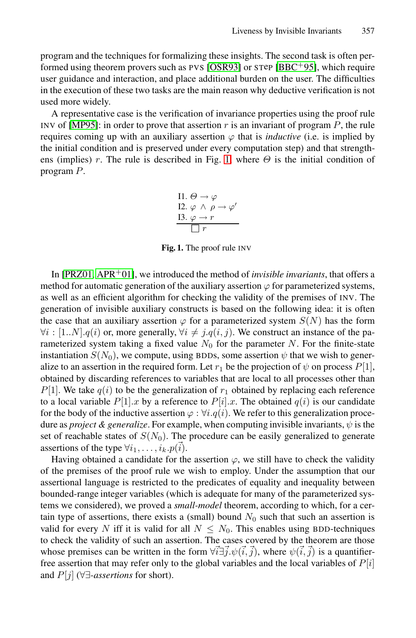program and the techniques for formalizing these insights. The second task is often per-formed using theorem provers such as PVS [\[OSR93\]](#page-15-0) or STeP [\[BBC](#page-14-1)<sup>+</sup>95], which require user guidance and interaction, and place additional burden on the user. The difficulties in the execution of these two tasks are the main reason why deductive verification is not used more widely.

A representative case is the verification of invariance properties using the proof rule INV of [\[MP95\]](#page-15-1): in order to prove that assertion  $r$  is an invariant of program  $P$ , the rule requires coming up with an auxiliary assertion  $\varphi$  that is *inductive* (i.e. is implied by the initial condition and is preserved under every computation step) and that strength-ens (implies) r. The rule is described in Fig. [1,](#page-1-0) where  $\Theta$  is the initial condition of program P.

I1. 
$$
\Theta \rightarrow \varphi
$$
  
I2.  $\varphi \land \rho \rightarrow \varphi'$   
I3.  $\varphi \rightarrow r$   
 $\Box r$ 

<span id="page-1-0"></span>**Fig. 1.** The proof rule INV

In [\[PRZ01,](#page-15-2) [APR](#page-14-2)<sup>+</sup>01], we introduced the method of *invisible invariants*, that offers a method for automatic generation of the auxiliary assertion  $\varphi$  for parameterized systems, as well as an efficient algorithm for checking the validity of the premises of INV. The generation of invisible auxiliary constructs is based on the following idea: it is often the case that an auxiliary assertion  $\varphi$  for a parameterized system  $S(N)$  has the form  $\forall i : [1..N].q(i)$  or, more generally,  $\forall i \neq j.q(i,j)$ . We construct an instance of the parameterized system taking a fixed value  $N_0$  for the parameter N. For the finite-state instantiation  $S(N_0)$ , we compute, using BDDs, some assertion  $\psi$  that we wish to generalize to an assertion in the required form. Let  $r_1$  be the projection of  $\psi$  on process  $P[1]$ , obtained by discarding references to variables that are local to all processes other than  $P[1]$ . We take  $q(i)$  to be the generalization of  $r_1$  obtained by replacing each reference to a local variable  $P[1] \text{ or } x$  by a reference to  $P[i] \text{ or } x$ . The obtained  $q(i)$  is our candidate for the body of the inductive assertion  $\varphi : \forall i. q(i)$ . We refer to this generalization procedure as *project* & *generalize*. For example, when computing invisible invariants,  $\psi$  is the set of reachable states of  $S(N_0)$ . The procedure can be easily generalized to generate assertions of the type  $\forall i_1, \ldots, i_k \cdot p(\vec{i}).$ 

Having obtained a candidate for the assertion  $\varphi$ , we still have to check the validity of the premises of the proof rule we wish to employ. Under the assumption that our assertional language is restricted to the predicates of equality and inequality between bounded-range integer variables (which is adequate for many of the parameterized systems we considered), we proved a *small-model* theorem, according to which, for a certain type of assertions, there exists a (small) bound  $N_0$  such that such an assertion is valid for every N iff it is valid for all  $N \leq N_0$ . This enables using BDD-techniques to check the validity of such an assertion. The cases covered by the theorem are those whose premises can be written in the form  $\forall \vec{i} \exists \vec{j} \cdot \psi(\vec{i}, \vec{j})$ , where  $\psi(\vec{i}, \vec{j})$  is a quantifierfree assertion that may refer only to the global variables and the local variables of  $P[i]$ and P[j] (∀∃*-assertions* for short).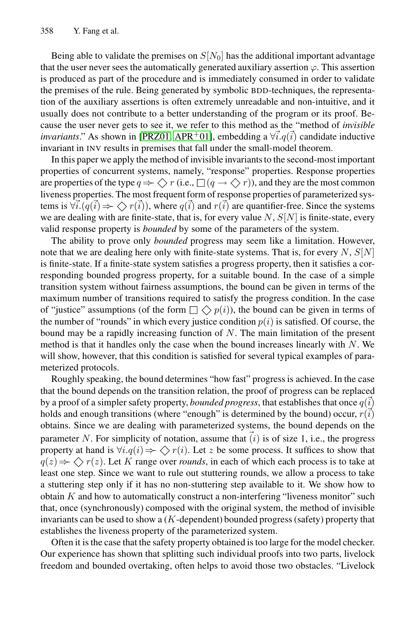Being able to validate the premises on  $S[N_0]$  has the additional important advantage that the user never sees the automatically generated auxiliary assertion  $\varphi$ . This assertion is produced as part of the procedure and is immediately consumed in order to validate the premises of the rule. Being generated by symbolic BDD-techniques, the representation of the auxiliary assertions is often extremely unreadable and non-intuitive, and it usually does not contribute to a better understanding of the program or its proof. Because the user never gets to see it, we refer to this method as the "method of *invisible invariants*." As shown in [\[PRZ01,](#page-15-2) [APR](#page-14-2)<sup>+</sup>01], embedding a  $\forall \vec{i}. q(\vec{i})$  candidate inductive invariant in INV results in premises that fall under the small-model theorem.

In this paper we apply the method of invisible invariants to the second-most important properties of concurrent systems, namely, "response" properties. Response properties are properties of the type  $q \Rightarrow \bigcirc r$  (i.e.,  $\Box (q \to \bigcirc r)$ ), and they are the most common liveness properties. The most frequent form of response properties of parameterized systems is  $\forall \vec{i}. (\vec{q}(\vec{i}) \Rightarrow \bigcirc r(\vec{i})),$  where  $\vec{q}(\vec{i})$  and  $\vec{r}(\vec{i})$  are quantifier-free. Since the systems we are dealing with are finite-state, that is, for every value  $N$ ,  $S[N]$  is finite-state, every valid response property is *bounded* by some of the parameters of the system.

The ability to prove only *bounded* progress may seem like a limitation. However, note that we are dealing here only with finite-state systems. That is, for every  $N$ ,  $S[N]$ is finite-state. If a finite-state system satisfies a progress property, then it satisfies a corresponding bounded progress property, for a suitable bound. In the case of a simple transition system without fairness assumptions, the bound can be given in terms of the maximum number of transitions required to satisfy the progress condition. In the case of "justice" assumptions (of the form  $\Box \diamondsuit p(i)$ ), the bound can be given in terms of the number of "rounds" in which every justice condition  $p(i)$  is satisfied. Of course, the bound may be a rapidly increasing function of  $N$ . The main limitation of the present method is that it handles only the case when the bound increases linearly with  $N$ . We will show, however, that this condition is satisfied for several typical examples of parameterized protocols.

Roughly speaking, the bound determines "how fast" progress is achieved. In the case that the bound depends on the transition relation, the proof of progress can be replaced by a proof of a simpler safety property, *bounded progress*, that establishes that once  $q(\vec{i})$ holds and enough transitions (where "enough" is determined by the bound) occur,  $r(\vec{i})$ obtains. Since we are dealing with parameterized systems, the bound depends on the parameter N. For simplicity of notation, assume that  $(i)$  is of size 1, i.e., the progress property at hand is  $\forall i. q(i) \Rightarrow \Diamond r(i)$ . Let z be some process. It suffices to show that  $q(z) \Rightarrow \bigcirc r(z)$ . Let K range over *rounds*, in each of which each process is to take at least one step. Since we want to rule out stuttering rounds, we allow a process to take a stuttering step only if it has no non-stuttering step available to it. We show how to obtain  $K$  and how to automatically construct a non-interfering "liveness monitor" such that, once (synchronously) composed with the original system, the method of invisible invariants can be used to show a  $(K$ -dependent) bounded progress (safety) property that establishes the liveness property of the parameterized system.

Often it is the case that the safety property obtained is too large for the model checker. Our experience has shown that splitting such individual proofs into two parts, livelock freedom and bounded overtaking, often helps to avoid those two obstacles. "Livelock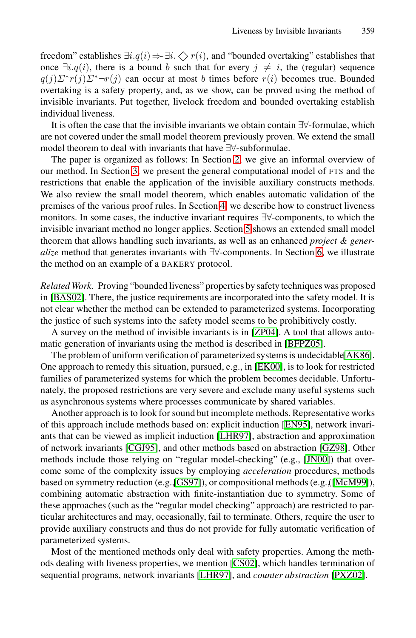freedom" establishes  $\exists i. q(i) \Rightarrow \exists i. \bigcirc r(i)$ , and "bounded overtaking" establishes that once  $\exists i.q(i)$ , there is a bound b such that for every  $j \neq i$ , the (regular) sequence  $q(j)\Sigma^*r(j)\Sigma^*\neg r(j)$  can occur at most b times before  $r(i)$  becomes true. Bounded overtaking is a safety property, and, as we show, can be proved using the method of invisible invariants. Put together, livelock freedom and bounded overtaking establish individual liveness.

It is often the case that the invisible invariants we obtain contain ∃∀-formulae, which are not covered under the small model theorem previously proven. We extend the small model theorem to deal with invariants that have ∃∀-subformulae.

The paper is organized as follows: In Section [2,](#page-4-0) we give an informal overview of our method. In Section [3,](#page-5-0) we present the general computational model of FTS and the restrictions that enable the application of the invisible auxiliary constructs methods. We also review the small model theorem, which enables automatic validation of the premises of the various proof rules. In Section [4,](#page-8-0) we describe how to construct liveness monitors. In some cases, the inductive invariant requires ∃∀-components, to which the invisible invariant method no longer applies. Section [5](#page-10-0) shows an extended small model theorem that allows handling such invariants, as well as an enhanced *project & generalize* method that generates invariants with ∃∀-components. In Section [6,](#page-11-0) we illustrate the method on an example of a BAKERY protocol.

*Related Work.* Proving "bounded liveness" properties by safety techniques was proposed in [\[BAS02\]](#page-14-3). There, the justice requirements are incorporated into the safety model. It is not clear whether the method can be extended to parameterized systems. Incorporating the justice of such systems into the safety model seems to be prohibitively costly.

A survey on the method of invisible invariants is in [\[ZP04\]](#page-15-3). A tool that allows automatic generation of invariants using the method is described in [\[BFPZ05\]](#page-14-4).

The problem of uniform verification of parameterized systems is undecidable AK86. One approach to remedy this situation, pursued, e.g., in [\[EK00\]](#page-14-6), is to look for restricted families of parameterized systems for which the problem becomes decidable. Unfortunately, the proposed restrictions are very severe and exclude many useful systems such as asynchronous systems where processes communicate by shared variables.

Another approach is to look for sound but incomplete methods. Representative works of this approach include methods based on: explicit induction [\[EN95\]](#page-14-7), network invariants that can be viewed as implicit induction [\[LHR97\]](#page-15-4), abstraction and approximation of network invariants [\[CGJ95\]](#page-14-8), and other methods based on abstraction [\[GZ98\]](#page-15-5). Other methods include those relying on "regular model-checking" (e.g., [\[JN00\]](#page-15-6)) that overcome some of the complexity issues by employing *acceleration* procedures, methods based on symmetry reduction (e.g.,[\[GS97\]](#page-14-9)), or compositional methods (e.g.,([\[McM99\]](#page-15-7)), combining automatic abstraction with finite-instantiation due to symmetry. Some of these approaches (such as the "regular model checking" approach) are restricted to particular architectures and may, occasionally, fail to terminate. Others, require the user to provide auxiliary constructs and thus do not provide for fully automatic verification of parameterized systems.

Most of the mentioned methods only deal with safety properties. Among the methods dealing with liveness properties, we mention [\[CS02\]](#page-14-10), which handles termination of sequential programs, network invariants [\[LHR97\]](#page-15-4), and *counter abstraction* [\[PXZ02\]](#page-15-8).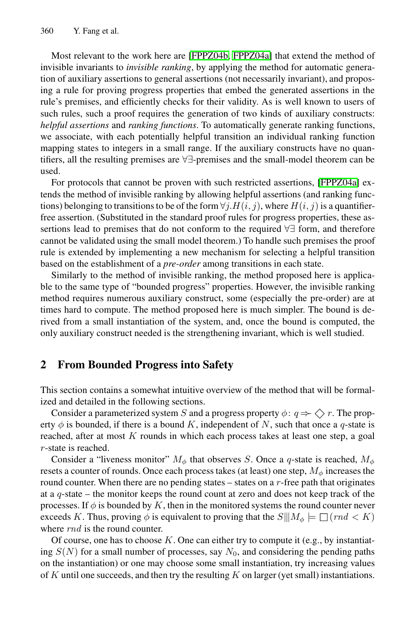Most relevant to the work here are [\[FPPZ04b,](#page-14-11) [FPPZ04a\]](#page-14-12) that extend the method of invisible invariants to *invisible ranking*, by applying the method for automatic generation of auxiliary assertions to general assertions (not necessarily invariant), and proposing a rule for proving progress properties that embed the generated assertions in the rule's premises, and efficiently checks for their validity. As is well known to users of such rules, such a proof requires the generation of two kinds of auxiliary constructs: *helpful assertions* and *ranking functions*. To automatically generate ranking functions, we associate, with each potentially helpful transition an individual ranking function mapping states to integers in a small range. If the auxiliary constructs have no quantifiers, all the resulting premises are ∀∃-premises and the small-model theorem can be used.

For protocols that cannot be proven with such restricted assertions, [\[FPPZ04a\]](#page-14-12) extends the method of invisible ranking by allowing helpful assertions (and ranking functions) belonging to transitions to be of the form  $\forall j. H(i, j)$ , where  $H(i, j)$  is a quantifierfree assertion. (Substituted in the standard proof rules for progress properties, these assertions lead to premises that do not conform to the required ∀∃ form, and therefore cannot be validated using the small model theorem.) To handle such premises the proof rule is extended by implementing a new mechanism for selecting a helpful transition based on the establishment of a *pre-order* among transitions in each state.

Similarly to the method of invisible ranking, the method proposed here is applicable to the same type of "bounded progress" properties. However, the invisible ranking method requires numerous auxiliary construct, some (especially the pre-order) are at times hard to compute. The method proposed here is much simpler. The bound is derived from a small instantiation of the system, and, once the bound is computed, the only auxiliary construct needed is the strengthening invariant, which is well studied.

## <span id="page-4-0"></span>**2 From Bounded Progress into Safety**

This section contains a somewhat intuitive overview of the method that will be formalized and detailed in the following sections.

Consider a parameterized system S and a progress property  $\phi: q \Rightarrow \Diamond r$ . The property  $\phi$  is bounded, if there is a bound K, independent of N, such that once a q-state is reached, after at most  $K$  rounds in which each process takes at least one step, a goal r-state is reached.

Consider a "liveness monitor"  $M_{\phi}$  that observes S. Once a q-state is reached,  $M_{\phi}$ resets a counter of rounds. Once each process takes (at least) one step,  $M_{\phi}$  increases the round counter. When there are no pending states – states on a  $r$ -free path that originates at a  $q$ -state – the monitor keeps the round count at zero and does not keep track of the processes. If  $\phi$  is bounded by K, then in the monitored systems the round counter never exceeds K. Thus, proving  $\phi$  is equivalent to proving that the  $S \parallel\!\mid M_\phi \models \Box (rnd < K)$ where  $rnd$  is the round counter.

Of course, one has to choose  $K$ . One can either try to compute it (e.g., by instantiating  $S(N)$  for a small number of processes, say  $N_0$ , and considering the pending paths on the instantiation) or one may choose some small instantiation, try increasing values of  $K$  until one succeeds, and then try the resulting  $K$  on larger (yet small) instantiations.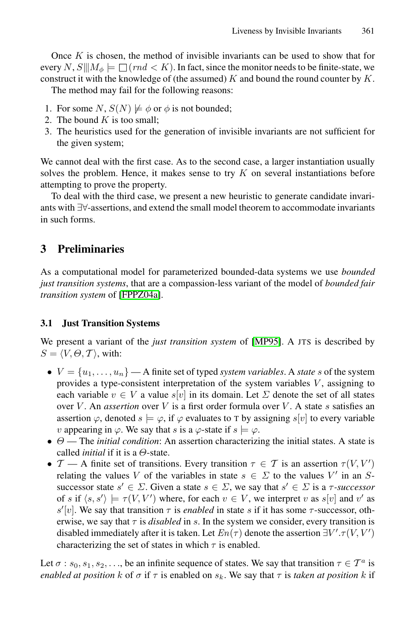Once  $K$  is chosen, the method of invisible invariants can be used to show that for every  $N$ ,  $S\| \| M_\phi \models \Box (rnd < K).$  In fact, since the monitor needs to be finite-state, we construct it with the knowledge of (the assumed)  $K$  and bound the round counter by  $K$ .

The method may fail for the following reasons:

- 1. For some  $N$ ,  $S(N) \not\models \phi$  or  $\phi$  is not bounded;
- 2. The bound  $K$  is too small;
- 3. The heuristics used for the generation of invisible invariants are not sufficient for the given system;

We cannot deal with the first case. As to the second case, a larger instantiation usually solves the problem. Hence, it makes sense to try  $K$  on several instantiations before attempting to prove the property.

To deal with the third case, we present a new heuristic to generate candidate invariants with ∃∀-assertions, and extend the small model theorem to accommodate invariants in such forms.

# <span id="page-5-0"></span>**3 Preliminaries**

As a computational model for parameterized bounded-data systems we use *bounded just transition systems*, that are a compassion-less variant of the model of *bounded fair transition system* of [\[FPPZ04a\]](#page-14-12).

### **3.1 Just Transition Systems**

We present a variant of the *just transition system* of [\[MP95\]](#page-15-1). A JTS is described by  $S = \langle V, \Theta, \mathcal{T} \rangle$ , with:

- $V = \{u_1, \ldots, u_n\}$  A finite set of typed *system variables*. A *state* s of the system provides a type-consistent interpretation of the system variables  $V$ , assigning to each variable  $v \in V$  a value  $s[v]$  in its domain. Let  $\Sigma$  denote the set of all states over V. An *assertion* over V is a first order formula over V. A state s satisfies an assertion  $\varphi$ , denoted  $s \models \varphi$ , if  $\varphi$  evaluates to T by assigning  $s[v]$  to every variable v appearing in  $\varphi$ . We say that s is a  $\varphi$ -state if  $s \models \varphi$ .
- Θ The *initial condition*: An assertion characterizing the initial states. A state is called *initial* if it is a Θ-state.
- $\mathcal{T}$  A finite set of transitions. Every transition  $\tau \in \mathcal{T}$  is an assertion  $\tau(V, V')$ relating the values V of the variables in state  $s \in \Sigma$  to the values V' in an Ssuccessor state  $s' \in \Sigma$ . Given a state  $s \in \Sigma$ , we say that  $s' \in \Sigma$  is a  $\tau$ -successor of s if  $\langle s, s' \rangle \models \tau(V, V')$  where, for each  $v \in V$ , we interpret v as  $s[v]$  and v' as  $s'[v]$ . We say that transition  $\tau$  is *enabled* in state s if it has some  $\tau$ -successor, otherwise, we say that  $\tau$  is *disabled* in s. In the system we consider, every transition is disabled immediately after it is taken. Let  $En(\tau)$  denote the assertion  $\exists V'.\tau(V,V')$ characterizing the set of states in which  $\tau$  is enabled.

Let  $\sigma : s_0, s_1, s_2, \ldots$ , be an infinite sequence of states. We say that transition  $\tau \in \mathcal{T}^a$  is *enabled at position*  $k$  of  $\sigma$  if  $\tau$  is enabled on  $s_k$ . We say that  $\tau$  is *taken at position*  $k$  if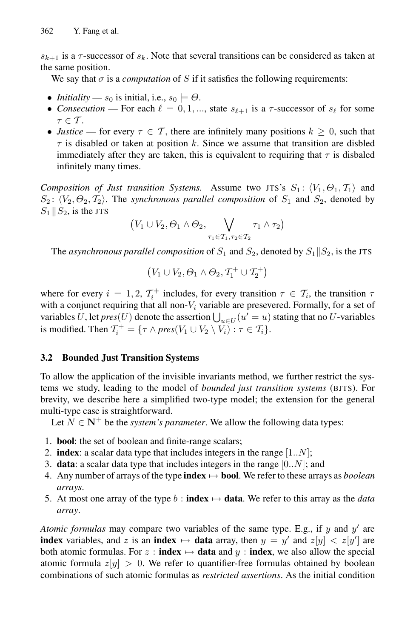$s_{k+1}$  is a  $\tau$ -successor of  $s_k$ . Note that several transitions can be considered as taken at the same position.

We say that  $\sigma$  is a *computation* of S if it satisfies the following requirements:

- *Initiality*  $s_0$  is initial, i.e.,  $s_0 \models \Theta$ .
- *Consecution* For each  $\ell = 0, 1, \dots$ , state  $s_{\ell+1}$  is a  $\tau$ -successor of  $s_{\ell}$  for some  $\tau \in \mathcal{T}$ .
- *Justice* for every  $\tau \in \mathcal{T}$ , there are infinitely many positions  $k \geq 0$ , such that  $\tau$  is disabled or taken at position k. Since we assume that transition are disbled immediately after they are taken, this is equivalent to requiring that  $\tau$  is disbaled infinitely many times.

*Composition of Just transition Systems.* Assume two JTS's  $S_1$ :  $\langle V_1, \Theta_1, \mathcal{T}_1 \rangle$  and  $S_2$ :  $\langle V_2, \Theta_2, \mathcal{T}_2 \rangle$ . The *synchronous parallel composition* of  $S_1$  and  $S_2$ , denoted by  $S_1 \parallel S_2$ , is the JTS

$$
(V_1 \cup V_2, \Theta_1 \wedge \Theta_2, \bigvee_{\tau_1 \in \mathcal{T}_1, \tau_2 \in \mathcal{T}_2} \tau_1 \wedge \tau_2)
$$

The *asynchronous parallel composition* of  $S_1$  and  $S_2$ , denoted by  $S_1||S_2$ , is the JTS

$$
(V_1 \cup V_2, \Theta_1 \wedge \Theta_2, \mathcal{T}_1^+ \cup \mathcal{T}_2^+)
$$

where for every  $i = 1, 2, T_i^+$  includes, for every transition  $\tau \in T_i$ , the transition  $\tau$ with a conjunct requiring that all non- $V_i$  variable are presevered. Formally, for a set of variables U, let  $pres(U)$  denote the assertion  $\bigcup_{u \in U} (u' = u)$  stating that no U-variables is modified. Then  $\mathcal{T}_i^+ = \{ \tau \wedge pres(V_1 \cup V_2 \setminus V_i) : \tau \in \mathcal{T}_i \}.$ 

#### **3.2 Bounded Just Transition Systems**

To allow the application of the invisible invariants method, we further restrict the systems we study, leading to the model of *bounded just transition systems* (BJTS). For brevity, we describe here a simplified two-type model; the extension for the general multi-type case is straightforward.

Let  $N \in \mathbb{N}^+$  be the *system's parameter*. We allow the following data types:

- 1. **bool**: the set of boolean and finite-range scalars;
- 2. **index**: a scalar data type that includes integers in the range [1..N];
- 3. **data**: a scalar data type that includes integers in the range [0..N]; and
- 4. Any number of arrays of the type **index**  $\mapsto$  **bool**. We refer to these arrays as *boolean arrays*.
- 5. At most one array of the type  $b : \textbf{index} \mapsto \textbf{data}$ . We refer to this array as the *data array*.

*Atomic formulas* may compare two variables of the same type. E.g., if y and  $y'$  are **index** variables, and z is an **index**  $\mapsto$  **data** array, then  $y = y'$  and  $z[y] < z[y']$  are both atomic formulas. For  $z : \textbf{index} \mapsto \textbf{data}$  and  $y : \textbf{index}$ , we also allow the special atomic formula  $z[y] > 0$ . We refer to quantifier-free formulas obtained by boolean combinations of such atomic formulas as *restricted assertions*. As the initial condition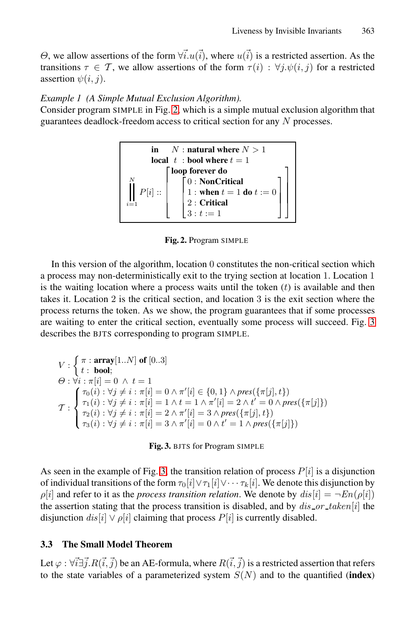$\Theta$ , we allow assertions of the form  $\forall i$ .  $u(\vec{i})$ , where  $u(\vec{i})$  is a restricted assertion. As the transitions  $\tau \in \mathcal{T}$ , we allow assertions of the form  $\tau(i) : \forall j.\psi(i,j)$  for a restricted assertion  $\psi(i,j)$ .

#### <span id="page-7-2"></span>*Example 1 (A Simple Mutual Exclusion Algorithm).*

Consider program SIMPLE in Fig. [2,](#page-7-0) which is a simple mutual exclusion algorithm that guarantees deadlock-freedom access to critical section for any N processes.



<span id="page-7-0"></span>**Fig. 2.** Program SIMPLE

In this version of the algorithm, location 0 constitutes the non-critical section which a process may non-deterministically exit to the trying section at location 1. Location 1 is the waiting location where a process waits until the token  $(t)$  is available and then takes it. Location 2 is the critical section, and location 3 is the exit section where the process returns the token. As we show, the program guarantees that if some processes are waiting to enter the critical section, eventually some process will succeed. Fig. [3](#page-7-1) describes the BJTS corresponding to program SIMPLE.

$$
V : \begin{cases} \pi : \textbf{array}[1..N] \text{ of } [0..3] \\ t : \textbf{bool}; \\ \Theta : \forall i : \pi[i] = 0 \ \land \ t = 1 \end{cases}
$$
  

$$
T : \begin{cases} \tau_0(i) : \forall j \neq i : \pi[i] = 0 \land \pi'[i] \in \{0, 1\} \land pres(\{\pi[j], t\}) \\ \tau_1(i) : \forall j \neq i : \pi[i] = 1 \land t = 1 \land \pi'[i] = 2 \land t' = 0 \land pres(\{\pi[j]\}) \\ \tau_2(i) : \forall j \neq i : \pi[i] = 2 \land \pi'[i] = 3 \land pres(\{\pi[j], t\}) \\ \tau_3(i) : \forall j \neq i : \pi[i] = 3 \land \pi'[i] = 0 \land t' = 1 \land pres(\{\pi[j]\}) \end{cases}
$$

<span id="page-7-1"></span>**Fig. 3.** BJTS for Program SIMPLE

As seen in the example of Fig. [3,](#page-7-1) the transition relation of process  $P[i]$  is a disjunction of individual transitions of the form  $\tau_0[i] \vee \tau_1[i] \vee \cdots \tau_k[i]$ . We denote this disjunction by  $\rho[i]$  and refer to it as the *process transition relation*. We denote by  $dis[i] = \neg En(\rho[i])$ the assertion stating that the process transition is disabled, and by  $dis\_or\_taken[i]$  the disjunction  $dis[i] \vee \rho[i]$  claiming that process  $P[i]$  is currently disabled.

#### **3.3 The Small Model Theorem**

Let  $\varphi:\forall \vec{i}\exists\vec{j}.R(\vec{i},\vec{j})$  be an AE-formula, where  $R(\vec{i},\vec{j})$  is a restricted assertion that refers to the state variables of a parameterized system  $S(N)$  and to the quantified (**index**)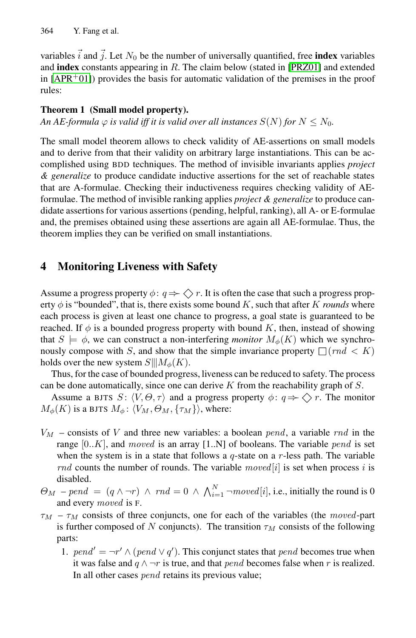variables  $\vec{i}$  and  $\vec{j}$ . Let  $N_0$  be the number of universally quantified, free **index** variables and **index** constants appearing in R. The claim below (stated in [\[PRZ01\]](#page-15-2) and extended in  $[APR<sup>+</sup>01]$  $[APR<sup>+</sup>01]$ ) provides the basis for automatic validation of the premises in the proof rules:

### <span id="page-8-1"></span>**Theorem 1 (Small model property).**

*An AE-formula*  $\varphi$  *is valid iff it is valid over all instances*  $S(N)$  *for*  $N \leq N_0$ *.* 

The small model theorem allows to check validity of AE-assertions on small models and to derive from that their validity on arbitrary large instantiations. This can be accomplished using BDD techniques. The method of invisible invariants applies *project & generalize* to produce candidate inductive assertions for the set of reachable states that are A-formulae. Checking their inductiveness requires checking validity of AEformulae. The method of invisible ranking applies *project & generalize* to produce candidate assertions for various assertions (pending, helpful, ranking), all A- or E-formulae and, the premises obtained using these assertions are again all AE-formulae. Thus, the theorem implies they can be verified on small instantiations.

### <span id="page-8-0"></span>**4 Monitoring Liveness with Safety**

Assume a progress property  $\phi: q \to \Diamond r$ . It is often the case that such a progress property  $\phi$  is "bounded", that is, there exists some bound K, such that after K *rounds* where each process is given at least one chance to progress, a goal state is guaranteed to be reached. If  $\phi$  is a bounded progress property with bound K, then, instead of showing that  $S \models \phi$ , we can construct a non-interfering *monitor*  $M_{\phi}(K)$  which we synchronously compose with S, and show that the simple invariance property  $\Box (md < K)$ holds over the new system  $S\| |M_{\phi}(K).$ 

Thus, for the case of bounded progress, liveness can be reduced to safety. The process can be done automatically, since one can derive  $K$  from the reachability graph of  $S$ .

Assume a BJTS  $S: \langle V, \Theta, \tau \rangle$  and a progress property  $\phi: q \Rightarrow \Diamond r$ . The monitor  $M_{\phi}(K)$  is a BJTS  $M_{\phi}$ :  $\langle V_M, \Theta_M, \{\tau_M\} \rangle$ , where:

- $V_M$  consists of V and three new variables: a boolean pend, a variable rnd in the range  $[0..K]$ , and *moved* is an array  $[1..N]$  of booleans. The variable *pend* is set when the system is in a state that follows a  $q$ -state on a r-less path. The variable  $rnd$  counts the number of rounds. The variable moved [i] is set when process i is disabled.
- $\Theta_M$  pend =  $(q \wedge \neg r) \wedge rnd = 0 \wedge \bigwedge_{i=1}^N \neg moved[i],$  i.e., initially the round is 0 and every moved is F.
- $\tau_M$   $\tau_M$  consists of three conjuncts, one for each of the variables (the *moved*-part is further composed of N conjuncts). The transition  $\tau_M$  consists of the following parts:
	- 1.  $pend' = \neg r' \wedge (pend \vee q')$ . This conjunct states that *pend* becomes true when it was false and  $q \wedge \neg r$  is true, and that *pend* becomes false when r is realized. In all other cases *pend* retains its previous value;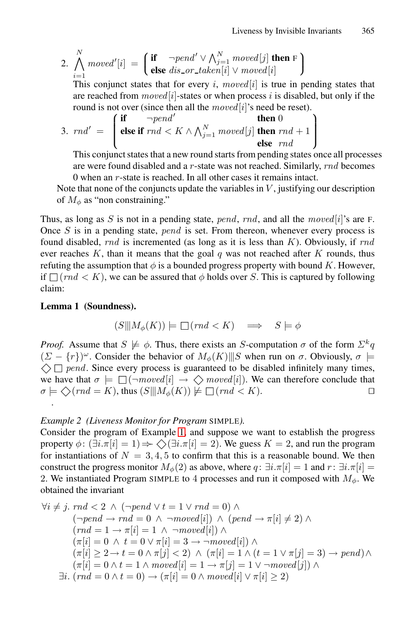2. 
$$
\bigwedge_{i=1}^{N} moved'[i] = \left(\begin{matrix} \mathbf{if} & \neg pend' \lor \bigwedge_{j=1}^{N} moved[j] \mathbf{then} \ \mathbf{F} \\ \mathbf{else} \ \text{dis\_or\_taken}[i] \lor moved[i] \end{matrix}\right)
$$

 $i=1$ <br>This conjunct states that for every i, moved[i] is true in pending states that are reached from  $\text{move}[i]$ -states or when process i is disabled, but only if the round is not over (since then all the  $moved[i]$ 's need be reset).

3. 
$$
rnd' = \left( \begin{matrix} \textbf{if} & \neg pend' & \textbf{then} \ 0 \\ \textbf{else} & \textbf{if} \ rad < K \land \bigwedge_{j=1}^{N} \ model[j] & \textbf{then} \ rad + 1 \\ \textbf{else} \ rad < K \end{matrix} \right)
$$

This conjunct states that a new round starts from pending states once all processes are were found disabled and a r-state was not reached. Similarly, rnd becomes 0 when an r-state is reached. In all other cases it remains intact.

Note that none of the conjuncts update the variables in  $V$ , justifying our description of  $M_{\phi}$  as "non constraining."

Thus, as long as S is not in a pending state, pend, rnd, and all the moved[i]'s are F. Once  $S$  is in a pending state, *pend* is set. From thereon, whenever every process is found disabled,  $rnd$  is incremented (as long as it is less than  $K$ ). Obviously, if  $rnd$ ever reaches  $K$ , than it means that the goal  $q$  was not reached after  $K$  rounds, thus refuting the assumption that  $\phi$  is a bounded progress property with bound K. However, if  $\Box (rnd < K)$ , we can be assured that  $\phi$  holds over S. This is captured by following claim:

#### <span id="page-9-0"></span>**Lemma 1 (Soundness).**

$$
(S \parallel M_{\phi}(K)) \models \Box (rnd < K) \implies S \models \phi
$$

*Proof.* Assume that  $S \not\models \phi$ . Thus, there exists an S-computation  $\sigma$  of the form  $\Sigma^k q$  $(\Sigma - \{r\})^{\omega}$ . Consider the behavior of  $M_{\phi}(K) \parallel S$  when run on  $\sigma$ . Obviously,  $\sigma \models$  $\Diamond \Box$  pend. Since every process is guaranteed to be disabled infinitely many times, we have that  $\sigma \models \Box(\neg \textit{move}[i] \rightarrow \Diamond \textit{move}[i])$ . We can therefore conclude that  $\sigma \models \diamondsuit(rnd = K)$ , thus  $(S \parallel M_\phi(K)) \not\models \Box(rnd < K)$ . .

#### *Example 2 (Liveness Monitor for Program* SIMPLE*).*

Consider the program of Example [1,](#page-7-2) and suppose we want to establish the progress property  $\phi$ :  $(\exists i.\pi[i] = 1) \Rightarrow \bigcirc (\exists i.\pi[i] = 2)$ . We guess  $K = 2$ , and run the program for instantiations of  $N = 3, 4, 5$  to confirm that this is a reasonable bound. We then construct the progress monitor  $M_{\phi}(2)$  as above, where  $q: \exists i.\pi[i]=1$  and  $r: \exists i.\pi[i]=1$ 2. We instantiated Program SIMPLE to 4 processes and run it composed with  $M_{\phi}$ . We obtained the invariant

$$
\forall i \neq j. \; rnd < 2 \; \land \; (\neg pend \lor t = 1 \lor rnd = 0) \; \land \\ (\neg pend \to rnd = 0 \; \land \; \neg moved[i]) \; \land \; (pend \to \pi[i] \neq 2) \; \land \\ (rnd = 1 \to \pi[i] = 1 \; \land \; \neg moved[i]) \; \land \\ (\pi[i] = 0 \; \land \; t = 0 \lor \pi[i] = 3 \to \neg moved[i]) \; \land \\ (\pi[i] \geq 2 \to t = 0 \land \pi[j] < 2) \; \land \; (\pi[i] = 1 \land (t = 1 \lor \pi[j] = 3) \to pend) \; \land \\ (\pi[i] = 0 \land t = 1 \land moved[i] = 1 \to \pi[j] = 1 \lor \neg moved[j]) \; \land \\ \exists i. \; (rnd = 0 \land t = 0) \to (\pi[i] = 0 \land moved[i] \lor \pi[i] \geq 2)
$$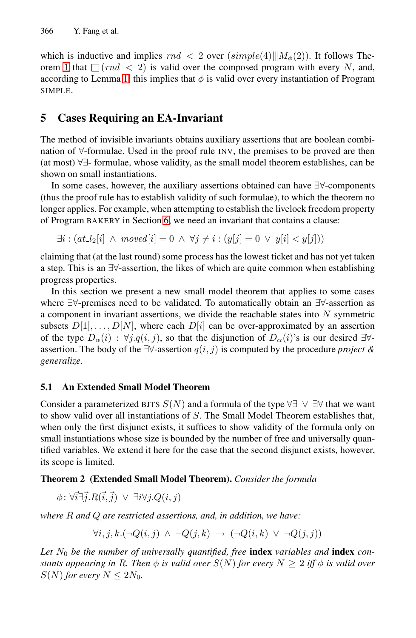which is inductive and implies  $rnd < 2$  over  $(simple(4) \parallel M_{\phi}(2))$ . It follows The-orem [1](#page-8-1) that  $\Box (rnd < 2)$  is valid over the composed program with every N, and, according to Lemma [1,](#page-9-0) this implies that  $\phi$  is valid over every instantiation of Program SIMPLE.

# <span id="page-10-0"></span>**5 Cases Requiring an EA-Invariant**

The method of invisible invariants obtains auxiliary assertions that are boolean combination of ∀-formulae. Used in the proof rule INV, the premises to be proved are then (at most) ∀∃- formulae, whose validity, as the small model theorem establishes, can be shown on small instantiations.

In some cases, however, the auxiliary assertions obtained can have ∃∀-components (thus the proof rule has to establish validity of such formulae), to which the theorem no longer applies. For example, when attempting to establish the livelock freedom property of Program BAKERY in Section [6,](#page-11-0) we need an invariant that contains a clause:

 $\exists i : (at \_2[i] \land \mathit{moved}[i] = 0 \land \forall j \neq i : (y[j] = 0 \lor y[i] < y[j]))$ 

claiming that (at the last round) some process has the lowest ticket and has not yet taken a step. This is an ∃∀-assertion, the likes of which are quite common when establishing progress properties.

In this section we present a new small model theorem that applies to some cases where ∃∀-premises need to be validated. To automatically obtain an ∃∀-assertion as a component in invariant assertions, we divide the reachable states into  $N$  symmetric subsets  $D[1], \ldots, D[N]$ , where each  $D[i]$  can be over-approximated by an assertion of the type  $D_{\alpha}(i)$ :  $\forall j. q(i,j)$ , so that the disjunction of  $D_{\alpha}(i)$ 's is our desired  $\exists \forall$ assertion. The body of the ∃∀-assertion q(i,j) is computed by the procedure *project & generalize*.

### **5.1 An Extended Small Model Theorem**

Consider a parameterized BJTS  $S(N)$  and a formula of the type  $\forall \exists \forall$  into want to show valid over all instantiations of S. The Small Model Theorem establishes that, when only the first disjunct exists, it suffices to show validity of the formula only on small instantiations whose size is bounded by the number of free and universally quantified variables. We extend it here for the case that the second disjunct exists, however, its scope is limited.

### <span id="page-10-1"></span>**Theorem 2 (Extended Small Model Theorem).** *Consider the formula*

$$
\phi \colon \forall \vec{i} \exists \vec{j}. R(\vec{i}, \vec{j}) \ \lor \ \exists i \forall j. Q(i, j)
$$

*where* R *and* Q *are restricted assertions, and, in addition, we have:*

 $\forall i, j, k. (\neg Q(i,j) \land \neg Q(j,k) \rightarrow (\neg Q(i,k) \lor \neg Q(j,j))$ 

Let  $N_0$  be the number of universally quantified, free **index** variables and **index** con*stants appearing in* R. Then  $\phi$  *is valid over*  $S(N)$  *for every*  $N \geq 2$  *iff*  $\phi$  *is valid over*  $S(N)$  *for every*  $N \leq 2N_0$ .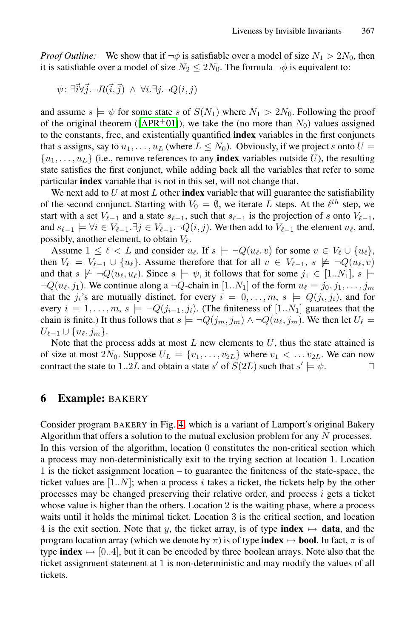*Proof Outline:* We show that if  $\neg \phi$  is satisfiable over a model of size  $N_1 > 2N_0$ , then it is satisfiable over a model of size  $N_2 \leq 2N_0$ . The formula  $\neg \phi$  is equivalent to:

$$
\psi\colon \exists \vec{i}\forall \vec{j}.\neg R(\vec{i},\vec{j})\ \wedge\ \forall i.\exists j.\neg Q(i,j)
$$

and assume  $s \models \psi$  for some state s of  $S(N_1)$  where  $N_1 > 2N_0$ . Following the proof of the original theorem ([\[APR](#page-14-2)<sup>+</sup>01]), we take the (no more than  $N_0$ ) values assigned to the constants, free, and existentially quantified **index** variables in the first conjuncts that s assigns, say to  $u_1, \ldots, u_L$  (where  $L \leq N_0$ ). Obviously, if we project s onto  $U =$  $\{u_1,\ldots,u_L\}$  (i.e., remove references to any **index** variables outside U), the resulting state satisfies the first conjunct, while adding back all the variables that refer to some particular **index** variable that is not in this set, will not change that.

We next add to  $U$  at most  $L$  other **index** variable that will guarantee the satisfiability of the second conjunct. Starting with  $V_0 = \emptyset$ , we iterate L steps. At the  $\ell^{th}$  step, we start with a set  $V_{\ell-1}$  and a state  $s_{\ell-1}$ , such that  $s_{\ell-1}$  is the projection of s onto  $V_{\ell-1}$ , and  $s_{\ell-1} \models \forall i \in V_{\ell-1} \exists j \in V_{\ell-1} \neg Q(i,j)$ . We then add to  $V_{\ell-1}$  the element  $u_{\ell}$ , and, possibly, another element, to obtain  $V_{\ell}$ .

Assume  $1 \leq \ell < L$  and consider  $u_{\ell}$ . If  $s \models \neg Q(u_{\ell}, v)$  for some  $v \in V_{\ell} \cup \{u_{\ell}\},$ then  $V_{\ell} = V_{\ell-1} \cup \{u_{\ell}\}\)$ . Assume therefore that for all  $v \in V_{\ell-1}, s \not\models \neg Q(u_{\ell}, v)$ and that  $s \not\models \neg Q(u_\ell, u_\ell)$ . Since  $s \models \psi$ , it follows that for some  $j_1 \in [1..N_1], s \models$  $\neg Q(u_\ell, j_1)$ . We continue along a  $\neg Q$ -chain in  $[1..N_1]$  of the form  $u_\ell = j_0, j_1, \ldots, j_m$ that the  $j_i$ 's are mutually distinct, for every  $i = 0, \ldots, m$ ,  $s \models Q(j_i, j_i)$ , and for every  $i = 1, \ldots, m, s \models \neg Q(j_{i-1}, j_i)$ . (The finiteness of  $[1..N_1]$  guaratees that the chain is finite.) It thus follows that  $s \models \neg Q(j_m, j_m) \land \neg Q(u_\ell, j_m)$ . We then let  $U_\ell =$  $U_{\ell-1} \cup \{u_{\ell}, j_m\}.$ 

Note that the process adds at most  $L$  new elements to  $U$ , thus the state attained is of size at most  $2N_0$ . Suppose  $U_L = \{v_1, \ldots, v_{2L}\}\$  where  $v_1 < \ldots v_{2L}$ . We can now contract the state to 1..2L and obtain a state s' of  $S(2L)$  such that  $s' \models \psi$ .

### <span id="page-11-0"></span>**6 Example:** BAKERY

Consider program BAKERY in Fig. [4,](#page-12-0) which is a variant of Lamport's original Bakery Algorithm that offers a solution to the mutual exclusion problem for any  $N$  processes. In this version of the algorithm, location 0 constitutes the non-critical section which a process may non-deterministically exit to the trying section at location 1. Location 1 is the ticket assignment location – to guarantee the finiteness of the state-space, the ticket values are  $[1..N]$ ; when a process i takes a ticket, the tickets help by the other processes may be changed preserving their relative order, and process  $i$  gets a ticket whose value is higher than the others. Location 2 is the waiting phase, where a process waits until it holds the minimal ticket. Location 3 is the critical section, and location 4 is the exit section. Note that y, the ticket array, is of type **index**  $\mapsto$  **data**, and the program location array (which we denote by  $\pi$ ) is of type **index**  $\mapsto$  **bool**. In fact,  $\pi$  is of type **index**  $\mapsto$  [0..4], but it can be encoded by three boolean arrays. Note also that the ticket assignment statement at 1 is non-deterministic and may modify the values of all tickets.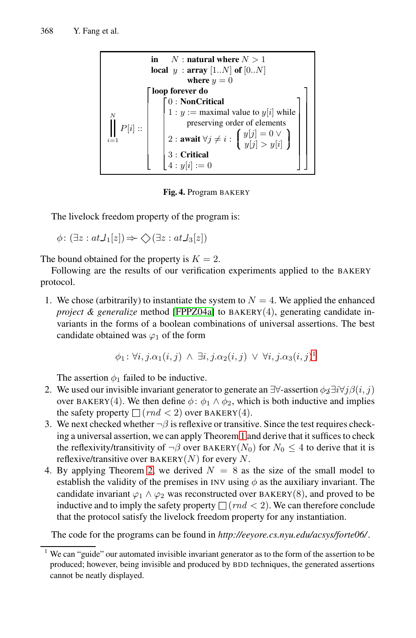| N : natural where $N > 1$<br>in<br><b>local</b> $y : \text{array} [1N]$ of $[0N]$                                                                                                                                                                                |
|------------------------------------------------------------------------------------------------------------------------------------------------------------------------------------------------------------------------------------------------------------------|
| where $y = 0$                                                                                                                                                                                                                                                    |
| loop forever do                                                                                                                                                                                                                                                  |
| $\lceil 0 : \text{NonCritical} \rceil$<br>1 : $y :=$ maximal value to $y[i]$ while<br>preserving order of elements<br>2 : await $\forall j \neq i : \left( \begin{array}{c} y[j] = 0 \vee \\ y[j] > y[i] \end{array} \right)$<br>3 : Critical<br>4 : $y[i] := 0$ |

<span id="page-12-0"></span>**Fig. 4.** Program BAKERY

The livelock freedom property of the program is:

 $\phi: (\exists z: at_l [z]) \Rightarrow \bigcirc (\exists z: at_l [z])$ 

The bound obtained for the property is  $K = 2$ .

Following are the results of our verification experiments applied to the BAKERY protocol.

1. We chose (arbitrarily) to instantiate the system to  $N = 4$ . We applied the enhanced *project & generalize* method [\[FPPZ04a\]](#page-14-12) to BAKERY(4), generating candidate invariants in the forms of a boolean combinations of universal assertions. The best candidate obtained was  $\varphi_1$  of the form

$$
\phi_1 \colon \forall i, j. \alpha_1(i, j) \ \land \ \exists i, j. \alpha_2(i, j) \ \lor \ \forall i, j. \alpha_3(i, j)^1
$$

The assertion  $\phi_1$  failed to be inductive.

- 2. We used our invisible invariant generator to generate an  $\exists \forall$ -assertion  $\phi_2 \exists i \forall j \beta(i, j)$ over BAKERY(4). We then define  $\phi$ :  $\phi_1 \wedge \phi_2$ , which is both inductive and implies the safety property  $\Box (rnd < 2)$  over BAKERY(4).
- 3. We next checked whether  $\neg \beta$  is reflexive or transitive. Since the test requires checking a universal assertion, we can apply Theorem [1](#page-8-1) and derive that it suffices to check the reflexivity/transitivity of  $\neg \beta$  over BAKERY( $N_0$ ) for  $N_0 \leq 4$  to derive that it is reflexive/transitive over BAKERY $(N)$  for every N.
- 4. By applying Theorem [2,](#page-10-1) we derived  $N = 8$  as the size of the small model to establish the validity of the premises in INV using  $\phi$  as the auxiliary invariant. The candidate invariant  $\varphi_1 \wedge \varphi_2$  was reconstructed over BAKERY(8), and proved to be inductive and to imply the safety property  $\Box (rnd < 2)$ . We can therefore conclude that the protocol satisfy the livelock freedom property for any instantiation.

The code for the programs can be found in *http://eeyore.cs.nyu.edu/acsys/forte06/*.

<span id="page-12-1"></span> $1$  We can "guide" our automated invisible invariant generator as to the form of the assertion to be produced; however, being invisible and produced by BDD techniques, the generated assertions cannot be neatly displayed.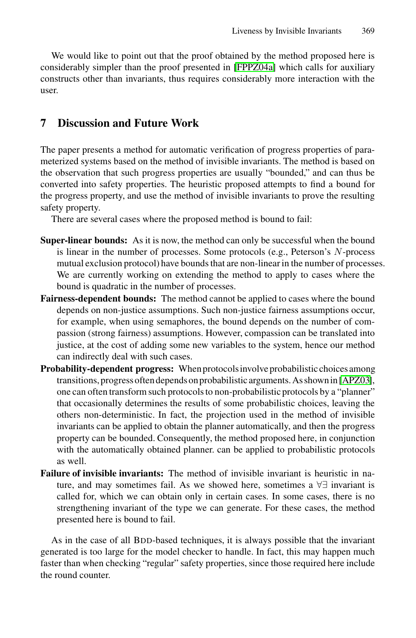We would like to point out that the proof obtained by the method proposed here is considerably simpler than the proof presented in [\[FPPZ04a\]](#page-14-12) which calls for auxiliary constructs other than invariants, thus requires considerably more interaction with the user.

### **7 Discussion and Future Work**

The paper presents a method for automatic verification of progress properties of parameterized systems based on the method of invisible invariants. The method is based on the observation that such progress properties are usually "bounded," and can thus be converted into safety properties. The heuristic proposed attempts to find a bound for the progress property, and use the method of invisible invariants to prove the resulting safety property.

There are several cases where the proposed method is bound to fail:

- **Super-linear bounds:** As it is now, the method can only be successful when the bound is linear in the number of processes. Some protocols (e.g., Peterson's N-process mutual exclusion protocol) have bounds that are non-linear in the number of processes. We are currently working on extending the method to apply to cases where the bound is quadratic in the number of processes.
- **Fairness-dependent bounds:** The method cannot be applied to cases where the bound depends on non-justice assumptions. Such non-justice fairness assumptions occur, for example, when using semaphores, the bound depends on the number of compassion (strong fairness) assumptions. However, compassion can be translated into justice, at the cost of adding some new variables to the system, hence our method can indirectly deal with such cases.
- **Probability-dependent progress:** When protocols involve probabilistic choices among transitions, progress often depends on probabilistic arguments. As shown in [\[APZ03\]](#page-14-13), one can often transform such protocols to non-probabilistic protocols by a "planner" that occasionally determines the results of some probabilistic choices, leaving the others non-deterministic. In fact, the projection used in the method of invisible invariants can be applied to obtain the planner automatically, and then the progress property can be bounded. Consequently, the method proposed here, in conjunction with the automatically obtained planner. can be applied to probabilistic protocols as well.
- **Failure of invisible invariants:** The method of invisible invariant is heuristic in nature, and may sometimes fail. As we showed here, sometimes a ∀∃ invariant is called for, which we can obtain only in certain cases. In some cases, there is no strengthening invariant of the type we can generate. For these cases, the method presented here is bound to fail.

As in the case of all BDD-based techniques, it is always possible that the invariant generated is too large for the model checker to handle. In fact, this may happen much faster than when checking "regular" safety properties, since those required here include the round counter.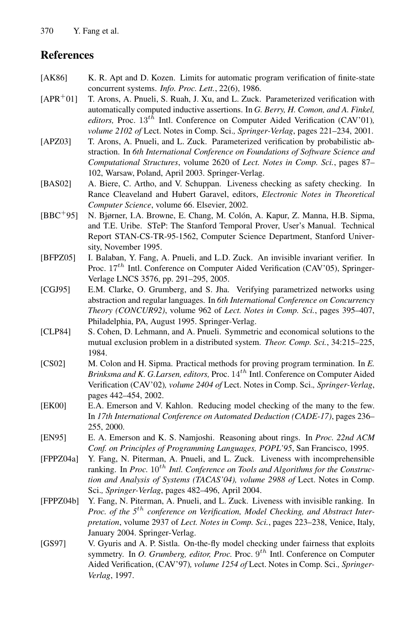# **References**

- <span id="page-14-5"></span><span id="page-14-0"></span>[AK86] K. R. Apt and D. Kozen. Limits for automatic program verification of finite-state concurrent systems. *Info. Proc. Lett.*, 22(6), 1986.
- <span id="page-14-2"></span>[APR<sup>+</sup>01] T. Arons, A. Pnueli, S. Ruah, J. Xu, and L. Zuck. Parameterized verification with automatically computed inductive assertions. In *G. Berry, H. Comon, and A. Finkel, editors,* Proc.  $13^{th}$  Intl. Conference on Computer Aided Verification (CAV'01), *volume 2102 of* Lect. Notes in Comp. Sci.*, Springer-Verlag*, pages 221–234, 2001.
- <span id="page-14-13"></span>[APZ03] T. Arons, A. Pnueli, and L. Zuck. Parameterized verification by probabilistic abstraction. In *6th International Conference on Foundations of Software Science and Computational Structures*, volume 2620 of *Lect. Notes in Comp. Sci.*, pages 87– 102, Warsaw, Poland, April 2003. Springer-Verlag.
- <span id="page-14-3"></span>[BAS02] A. Biere, C. Artho, and V. Schuppan. Liveness checking as safety checking. In Rance Cleaveland and Hubert Garavel, editors, *Electronic Notes in Theoretical Computer Science*, volume 66. Elsevier, 2002.
- <span id="page-14-1"></span>[BBC<sup>+</sup>95] N. Bjørner, I.A. Browne, E. Chang, M. Colón, A. Kapur, Z. Manna, H.B. Sipma, and T.E. Uribe. STeP: The Stanford Temporal Prover, User's Manual. Technical Report STAN-CS-TR-95-1562, Computer Science Department, Stanford University, November 1995.
- <span id="page-14-4"></span>[BFPZ05] I. Balaban, Y. Fang, A. Pnueli, and L.D. Zuck. An invisible invariant verifier. In Proc.  $17<sup>th</sup>$  Intl. Conference on Computer Aided Verification (CAV'05), Springer-Verlage LNCS 3576, pp. 291–295, 2005.
- <span id="page-14-8"></span>[CGJ95] E.M. Clarke, O. Grumberg, and S. Jha. Verifying parametrized networks using abstraction and regular languages. In *6th International Conference on Concurrency Theory (CONCUR92)*, volume 962 of *Lect. Notes in Comp. Sci.*, pages 395–407, Philadelphia, PA, August 1995. Springer-Verlag.
- [CLP84] S. Cohen, D. Lehmann, and A. Pnueli. Symmetric and economical solutions to the mutual exclusion problem in a distributed system. *Theor. Comp. Sci.*, 34:215–225, 1984.
- <span id="page-14-10"></span>[CS02] M. Colon and H. Sipma. Practical methods for proving program termination. In *E. Brinksma and K. G.Larsen, editors,* Proc. 14th Intl. Conference on Computer Aided Verification (CAV'02)*, volume 2404 of* Lect. Notes in Comp. Sci.*, Springer-Verlag*, pages 442–454, 2002.
- <span id="page-14-6"></span>[EK00] E.A. Emerson and V. Kahlon. Reducing model checking of the many to the few. In *17th International Conference on Automated Deduction (CADE-17)*, pages 236– 255, 2000.
- <span id="page-14-7"></span>[EN95] E. A. Emerson and K. S. Namjoshi. Reasoning about rings. In *Proc. 22nd ACM Conf. on Principles of Programming Languages, POPL'95*, San Francisco, 1995.
- <span id="page-14-12"></span>[FPPZ04a] Y. Fang, N. Piterman, A. Pnueli, and L. Zuck. Liveness with incomprehensible ranking. In *Proc.* 10<sup>th</sup> *Intl. Conference on Tools and Algorithms for the Construction and Analysis of Systems (TACAS'04), volume 2988 of* Lect. Notes in Comp. Sci.*, Springer-Verlag*, pages 482–496, April 2004.
- <span id="page-14-11"></span>[FPPZ04b] Y. Fang, N. Piterman, A. Pnueli, and L. Zuck. Liveness with invisible ranking. In *Proc. of the 5*th *conference on Verification, Model Checking, and Abstract Interpretation*, volume 2937 of *Lect. Notes in Comp. Sci.*, pages 223–238, Venice, Italy, January 2004. Springer-Verlag.
- <span id="page-14-9"></span>[GS97] V. Gyuris and A. P. Sistla. On-the-fly model checking under fairness that exploits symmetry. In *O. Grumberg, editor, Proc.* Proc.  $9^{th}$  Intl. Conference on Computer Aided Verification, (CAV'97)*, volume 1254 of* Lect. Notes in Comp. Sci.*, Springer-Verlag*, 1997.